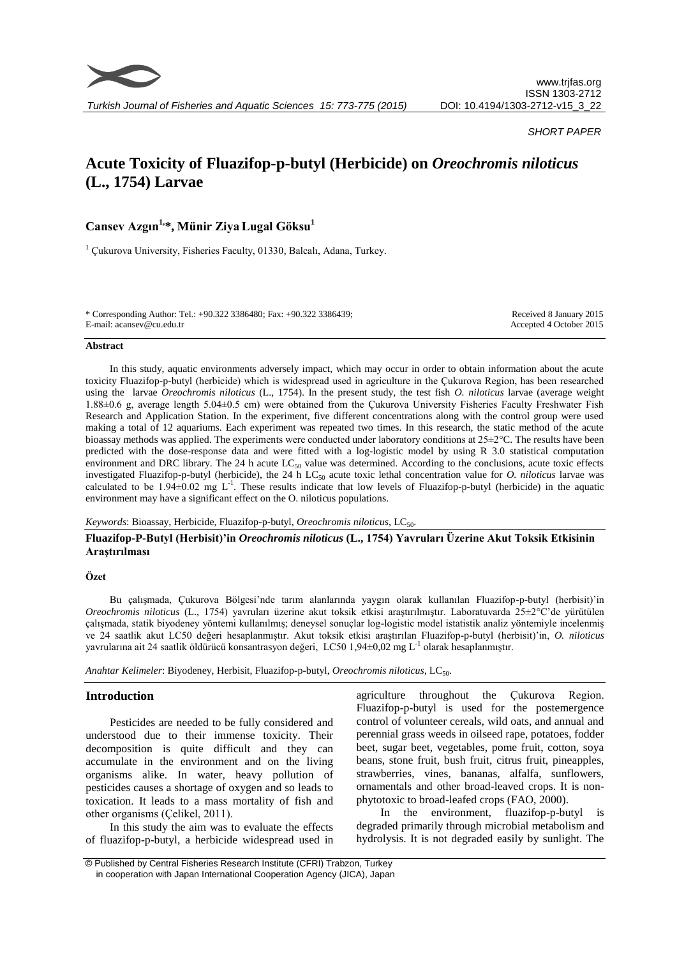

*SHORT PAPER*

# **Acute Toxicity of Fluazifop-p-butyl (Herbicide) on** *Oreochromis niloticus* **(L., 1754) Larvae**

# **Cansev Azgın1,\*, Münir ZiyaLugal Göksu<sup>1</sup>**

<sup>1</sup> Çukurova University, Fisheries Faculty, 01330, Balcalı, Adana, Turkey.

| * Corresponding Author: Tel.: +90.322 3386480; Fax: +90.322 3386439; | Received 8 January 2015 |
|----------------------------------------------------------------------|-------------------------|
| E-mail: acansey@cu.edu.tr                                            | Accepted 4 October 2015 |

#### **Abstract**

In this study, aquatic environments adversely impact, which may occur in order to obtain information about the acute toxicity Fluazifop-p-butyl (herbicide) which is widespread used in agriculture in the Çukurova Region, has been researched using the larvae *Oreochromis niloticus* (L., 1754). In the present study, the test fish *O. niloticus* larvae (average weight 1.88±0.6 g, average length 5.04±0.5 cm) were obtained from the Çukurova University Fisheries Faculty Freshwater Fish Research and Application Station. In the experiment, five different concentrations along with the control group were used making a total of 12 aquariums. Each experiment was repeated two times. In this research, the static method of the acute bioassay methods was applied. The experiments were conducted under laboratory conditions at 25±2°C. The results have been predicted with the dose-response data and were fitted with a log-logistic model by using R 3.0 statistical computation environment and DRC library. The 24 h acute  $LC_{50}$  value was determined. According to the conclusions, acute toxic effects investigated Fluazifop-p-butyl (herbicide), the 24 h LC<sub>50</sub> acute toxic lethal concentration value for *O. niloticus* larvae was calculated to be  $1.94\pm0.02$  mg L<sup>-1</sup>. These results indicate that low levels of Fluazifop-p-butyl (herbicide) in the aquatic environment may have a significant effect on the O. niloticus populations.

*Keywords*: Bioassay, Herbicide, Fluazifop-p-butyl, *Oreochromis niloticus*, LC<sub>50</sub>.

## **Fluazifop-P-Butyl (Herbisit)'in** *Oreochromis niloticus* **(L., 1754) Yavruları Üzerine Akut Toksik Etkisinin Araştırılması**

#### **Özet**

Bu çalışmada, Çukurova Bölgesi'nde tarım alanlarında yaygın olarak kullanılan Fluazifop-p-butyl (herbisit)'in *Oreochromis niloticus* (L., 1754) yavruları üzerine akut toksik etkisi araştırılmıştır. Laboratuvarda 25±2°C'de yürütülen çalışmada, statik biyodeney yöntemi kullanılmış; deneysel sonuçlar log-logistic model istatistik analiz yöntemiyle incelenmiş ve 24 saatlik akut LC50 değeri hesaplanmıştır. Akut toksik etkisi araştırılan Fluazifop-p-butyl (herbisit)'in, *O. niloticus* yavrularına ait 24 saatlik öldürücü konsantrasyon değeri, LC50 1,94±0,02 mg L<sup>-1</sup> olarak hesaplanmıştır.

*Anahtar Kelimeler*: Biyodeney, Herbisit, Fluazifop-p-butyl, *Oreochromis niloticus*, LC50.

### **Introduction**

Pesticides are needed to be fully considered and understood due to their immense toxicity. Their decomposition is quite difficult and they can accumulate in the environment and on the living organisms alike. In water, heavy pollution of pesticides causes a shortage of oxygen and so leads to toxication. It leads to a mass mortality of fish and other organisms (Çelikel, 2011).

In this study the aim was to evaluate the effects of fluazifop-p-butyl, a herbicide widespread used in

agriculture throughout the Çukurova Region. Fluazifop-p-butyl is used for the postemergence control of volunteer cereals, wild oats, and annual and perennial grass weeds in oilseed rape, potatoes, fodder beet, sugar beet, vegetables, pome fruit, cotton, soya beans, stone fruit, bush fruit, citrus fruit, pineapples, strawberries, vines, bananas, alfalfa, sunflowers, ornamentals and other broad-leaved crops. It is nonphytotoxic to broad-leafed crops (FAO, 2000).

In the environment, fluazifop-p-butyl is degraded primarily through microbial metabolism and hydrolysis. It is not degraded easily by sunlight. The

<sup>©</sup> Published by Central Fisheries Research Institute (CFRI) Trabzon, Turkey in cooperation with Japan International Cooperation Agency (JICA), Japan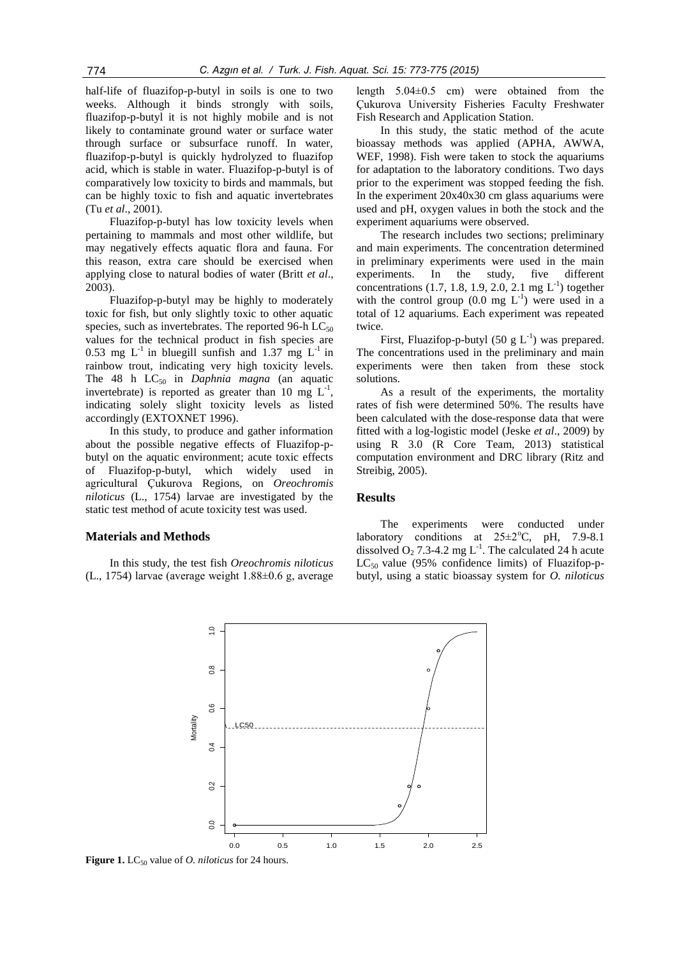half-life of fluazifop-p-butyl in soils is one to two weeks. Although it binds strongly with soils, fluazifop-p-butyl it is not highly mobile and is not likely to contaminate ground water or surface water through surface or subsurface runoff. In water, fluazifop-p-butyl is quickly hydrolyzed to fluazifop acid, which is stable in water. Fluazifop-p-butyl is of comparatively low toxicity to birds and mammals, but can be highly toxic to fish and aquatic invertebrates (Tu *et al*., 2001).

Fluazifop-p-butyl has low toxicity levels when pertaining to mammals and most other wildlife, but may negatively effects aquatic flora and fauna. For this reason, extra care should be exercised when applying close to natural bodies of water (Britt *et al*., 2003).

Fluazifop-p-butyl may be highly to moderately toxic for fish, but only slightly toxic to other aquatic species, such as invertebrates. The reported 96-h  $LC_{50}$ values for the technical product in fish species are 0.53 mg  $L^{-1}$  in bluegill sunfish and 1.37 mg  $L^{-1}$  in rainbow trout, indicating very high toxicity levels. The 48 h  $LC_{50}$  in *Daphnia magna* (an aquatic invertebrate) is reported as greater than 10 mg  $L^{-1}$ , indicating solely slight toxicity levels as listed accordingly (EXTOXNET 1996).

In this study, to produce and gather information about the possible negative effects of Fluazifop-pbutyl on the aquatic environment; acute toxic effects of Fluazifop-p-butyl, which widely used in agricultural Çukurova Regions, on *Oreochromis niloticus* (L., 1754) larvae are investigated by the static test method of acute toxicity test was used.

#### **Materials and Methods**

In this study, the test fish *Oreochromis niloticus*  (L., 1754) larvae (average weight 1.88±0.6 g, average length 5.04±0.5 cm) were obtained from the Çukurova University Fisheries Faculty Freshwater Fish Research and Application Station.

In this study, the static method of the acute bioassay methods was applied (APHA, AWWA, WEF, 1998). Fish were taken to stock the aquariums for adaptation to the laboratory conditions. Two days prior to the experiment was stopped feeding the fish. In the experiment 20x40x30 cm glass aquariums were used and pH, oxygen values in both the stock and the experiment aquariums were observed.

The research includes two sections; preliminary and main experiments. The concentration determined in preliminary experiments were used in the main experiments. In the study, five different concentrations  $(1.7, 1.8, 1.9, 2.0, 2.1 \text{ mg } L^{-1})$  together with the control group  $(0.0 \text{ mg } L^{-1})$  were used in a total of 12 aquariums. Each experiment was repeated twice.

First, Fluazifop-p-butyl  $(50 \text{ g L}^{-1})$  was prepared. The concentrations used in the preliminary and main experiments were then taken from these stock solutions.

As a result of the experiments, the mortality rates of fish were determined 50%. The results have been calculated with the dose-response data that were fitted with a log-logistic model (Jeske *et al*., 2009) by using R 3.0 (R Core Team, 2013) statistical computation environment and DRC library (Ritz and Streibig, 2005).

The experiments were conducted under

#### **Results**

laboratory conditions at  $25\pm2\degree$ C, pH, 7.9-8.1 dissolved  $O_2$  7.3-4.2 mg L<sup>-1</sup>. The calculated 24 h acute  $LC_{50}$  value (95% confidence limits) of Fluazifop-pbutyl, using a static bioassay system for *O. niloticus*



**Figure 1.** LC<sub>50</sub> value of *O. niloticus* for 24 hours.